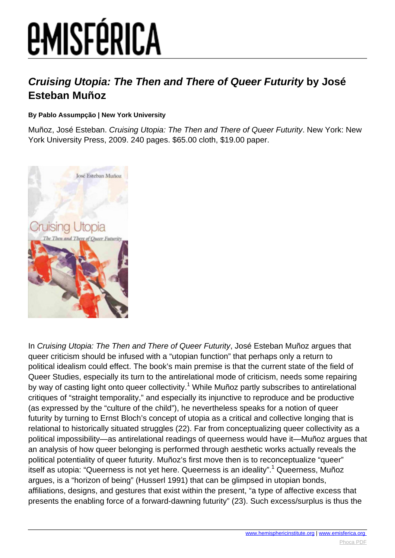# **EMISFÉRICA**

### **Cruising Utopia: The Then and There of Queer Futurity by José Esteban Muñoz**

#### **By Pablo Assumpção | New York University**

Muñoz, José Esteban. Cruising Utopia: The Then and There of Queer Futurity. New York: New York University Press, 2009. 240 pages. \$65.00 cloth, \$19.00 paper.



In Cruising Utopia: The Then and There of Queer Futurity, José Esteban Muñoz argues that queer criticism should be infused with a "utopian function" that perhaps only a return to political idealism could effect. The book's main premise is that the current state of the field of Queer Studies, especially its turn to the antirelational mode of criticism, needs some repairing by way of casting light onto queer collectivity.<sup>1</sup> While Muñoz partly subscribes to antirelational critiques of "straight temporality," and especially its injunctive to reproduce and be productive (as expressed by the "culture of the child"), he nevertheless speaks for a notion of queer futurity by turning to Ernst Bloch's concept of utopia as a critical and collective longing that is relational to historically situated struggles (22). Far from conceptualizing queer collectivity as a political impossibility—as antirelational readings of queerness would have it—Muñoz argues that an analysis of how queer belonging is performed through aesthetic works actually reveals the political potentiality of queer futurity. Muñoz's first move then is to reconceptualize "queer" itself as utopia: "Queerness is not yet here. Queerness is an ideality".<sup>1</sup> Queerness, Muñoz argues, is a "horizon of being" (Husserl 1991) that can be glimpsed in utopian bonds, affiliations, designs, and gestures that exist within the present, "a type of affective excess that presents the enabling force of a forward-dawning futurity" (23). Such excess/surplus is thus the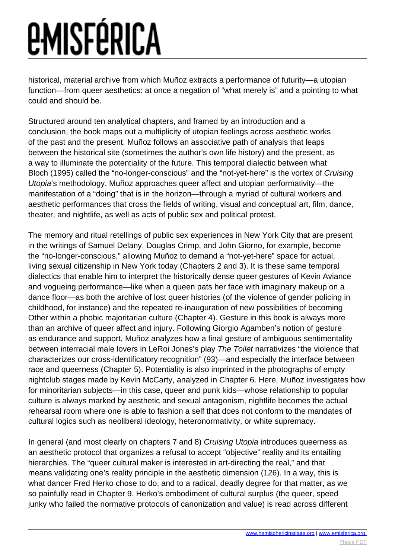# *<u>EMISFÉRICA</u>*

historical, material archive from which Muñoz extracts a performance of futurity—a utopian function—from queer aesthetics: at once a negation of "what merely is" and a pointing to what could and should be.

Structured around ten analytical chapters, and framed by an introduction and a conclusion, the book maps out a multiplicity of utopian feelings across aesthetic works of the past and the present. Muñoz follows an associative path of analysis that leaps between the historical site (sometimes the author's own life history) and the present, as a way to illuminate the potentiality of the future. This temporal dialectic between what Bloch (1995) called the "no-longer-conscious" and the "not-yet-here" is the vortex of Cruising Utopia's methodology. Muñoz approaches queer affect and utopian performativity—the manifestation of a "doing" that is in the horizon—through a myriad of cultural workers and aesthetic performances that cross the fields of writing, visual and conceptual art, film, dance, theater, and nightlife, as well as acts of public sex and political protest.

The memory and ritual retellings of public sex experiences in New York City that are present in the writings of Samuel Delany, Douglas Crimp, and John Giorno, for example, become the "no-longer-conscious," allowing Muñoz to demand a "not-yet-here" space for actual, living sexual citizenship in New York today (Chapters 2 and 3). It is these same temporal dialectics that enable him to interpret the historically dense queer gestures of Kevin Aviance and vogueing performance—like when a queen pats her face with imaginary makeup on a dance floor—as both the archive of lost queer histories (of the violence of gender policing in childhood, for instance) and the repeated re-inauguration of new possibilities of becoming Other within a phobic majoritarian culture (Chapter 4). Gesture in this book is always more than an archive of queer affect and injury. Following Giorgio Agamben's notion of gesture as endurance and support, Muñoz analyzes how a final gesture of ambiguous sentimentality between interracial male lovers in LeRoi Jones's play The Toilet narrativizes "the violence that characterizes our cross-identificatory recognition" (93)—and especially the interface between race and queerness (Chapter 5). Potentiality is also imprinted in the photographs of empty nightclub stages made by Kevin McCarty, analyzed in Chapter 6. Here, Muñoz investigates how for minoritarian subjects—in this case, queer and punk kids—whose relationship to popular culture is always marked by aesthetic and sexual antagonism, nightlife becomes the actual rehearsal room where one is able to fashion a self that does not conform to the mandates of cultural logics such as neoliberal ideology, heteronormativity, or white supremacy.

In general (and most clearly on chapters 7 and 8) Cruising Utopia introduces queerness as an aesthetic protocol that organizes a refusal to accept "objective" reality and its entailing hierarchies. The "queer cultural maker is interested in art-directing the real," and that means validating one's reality principle in the aesthetic dimension (126). In a way, this is what dancer Fred Herko chose to do, and to a radical, deadly degree for that matter, as we so painfully read in Chapter 9. Herko's embodiment of cultural surplus (the queer, speed junky who failed the normative protocols of canonization and value) is read across different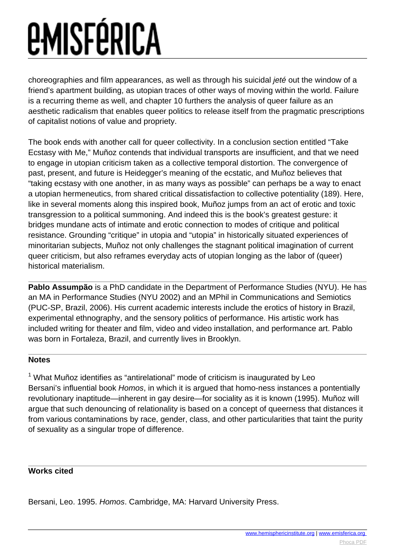# *<u>EMISFÉRICA</u>*

choreographies and film appearances, as well as through his suicidal jeté out the window of a friend's apartment building, as utopian traces of other ways of moving within the world. Failure is a recurring theme as well, and chapter 10 furthers the analysis of queer failure as an aesthetic radicalism that enables queer politics to release itself from the pragmatic prescriptions of capitalist notions of value and propriety.

The book ends with another call for queer collectivity. In a conclusion section entitled "Take Ecstasy with Me," Muñoz contends that individual transports are insufficient, and that we need to engage in utopian criticism taken as a collective temporal distortion. The convergence of past, present, and future is Heidegger's meaning of the ecstatic, and Muñoz believes that "taking ecstasy with one another, in as many ways as possible" can perhaps be a way to enact a utopian hermeneutics, from shared critical dissatisfaction to collective potentiality (189). Here, like in several moments along this inspired book, Muñoz jumps from an act of erotic and toxic transgression to a political summoning. And indeed this is the book's greatest gesture: it bridges mundane acts of intimate and erotic connection to modes of critique and political resistance. Grounding "critique" in utopia and "utopia" in historically situated experiences of minoritarian subjects, Muñoz not only challenges the stagnant political imagination of current queer criticism, but also reframes everyday acts of utopian longing as the labor of (queer) historical materialism.

**Pablo Assumpão** is a PhD candidate in the Department of Performance Studies (NYU). He has an MA in Performance Studies (NYU 2002) and an MPhil in Communications and Semiotics (PUC-SP, Brazil, 2006). His current academic interests include the erotics of history in Brazil, experimental ethnography, and the sensory politics of performance. His artistic work has included writing for theater and film, video and video installation, and performance art. Pablo was born in Fortaleza, Brazil, and currently lives in Brooklyn.

### **Notes**

 $1$  What Muñoz identifies as "antirelational" mode of criticism is inaugurated by Leo Bersani's influential book Homos, in which it is argued that homo-ness instances a pontentially revolutionary inaptitude—inherent in gay desire—for sociality as it is known (1995). Muñoz will argue that such denouncing of relationality is based on a concept of queerness that distances it from various contaminations by race, gender, class, and other particularities that taint the purity of sexuality as a singular trope of difference.

### **Works cited**

Bersani, Leo. 1995. Homos. Cambridge, MA: Harvard University Press.